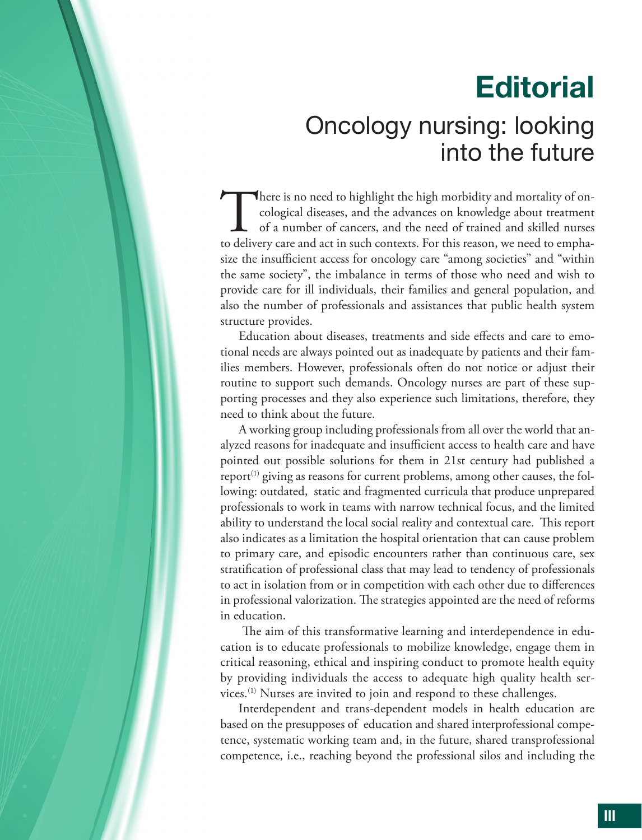## **Editorial**

## Oncology nursing: looking into the future

There is no need to highlight the high morbidity and mortality of on-<br>cological diseases, and the advances on knowledge about treatment<br>of a number of cancers, and the need of trained and skilled nurses<br>to delivery care an cological diseases, and the advances on knowledge about treatment of a number of cancers, and the need of trained and skilled nurses size the insufficient access for oncology care "among societies" and "within the same society", the imbalance in terms of those who need and wish to provide care for ill individuals, their families and general population, and also the number of professionals and assistances that public health system structure provides.

Education about diseases, treatments and side effects and care to emotional needs are always pointed out as inadequate by patients and their families members. However, professionals often do not notice or adjust their routine to support such demands. Oncology nurses are part of these supporting processes and they also experience such limitations, therefore, they need to think about the future.

A working group including professionals from all over the world that analyzed reasons for inadequate and insufficient access to health care and have pointed out possible solutions for them in 21st century had published a report<sup> $(1)$ </sup> giving as reasons for current problems, among other causes, the following: outdated, static and fragmented curricula that produce unprepared professionals to work in teams with narrow technical focus, and the limited ability to understand the local social reality and contextual care. This report also indicates as a limitation the hospital orientation that can cause problem to primary care, and episodic encounters rather than continuous care, sex stratification of professional class that may lead to tendency of professionals to act in isolation from or in competition with each other due to differences in professional valorization. The strategies appointed are the need of reforms in education.

The aim of this transformative learning and interdependence in education is to educate professionals to mobilize knowledge, engage them in critical reasoning, ethical and inspiring conduct to promote health equity by providing individuals the access to adequate high quality health services.<sup>(1)</sup> Nurses are invited to join and respond to these challenges.

Interdependent and trans-dependent models in health education are based on the presupposes of education and shared interprofessional competence, systematic working team and, in the future, shared transprofessional competence, i.e., reaching beyond the professional silos and including the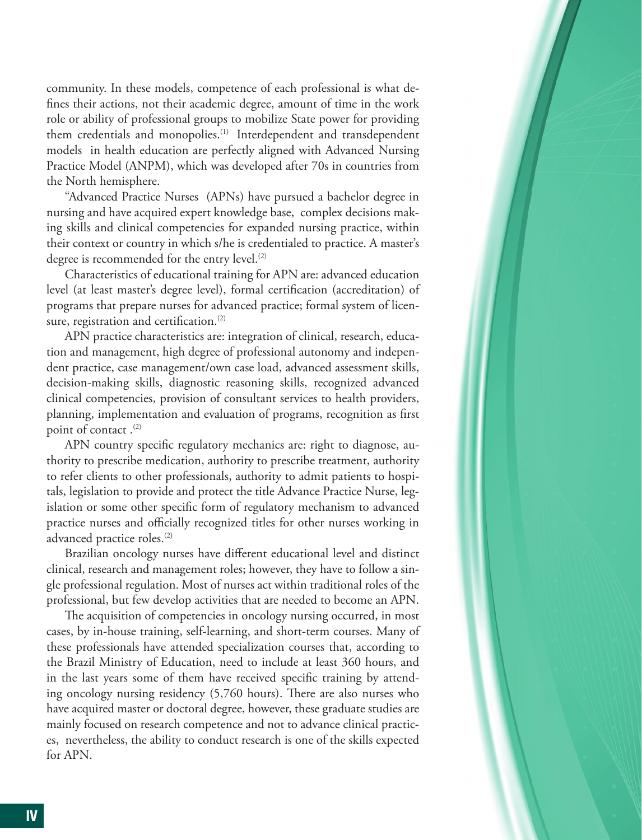community. In these models, competence of each professional is what de fines their actions, not their academic degree, amount of time in the work role or ability of professional groups to mobilize State power for providing them credentials and monopolies.(1) Interdependent and transdependent models in health education are perfectly aligned with Advanced Nursing Practice Model (ANPM), which was developed after 70s in countries from the North hemisphere.

"Advanced Practice Nurses (APNs) have pursued a bachelor degree in nursing and have acquired expert knowledge base, complex decisions making skills and clinical competencies for expanded nursing practice, within their context or country in which s/he is credentialed to practice. A master's degree is recommended for the entry level.<sup>(2)</sup>

Characteristics of educational training for APN are: advanced education level (at least master's degree level), formal certification (accreditation) of programs that prepare nurses for advanced practice; formal system of licensure, registration and certification. $(2)$ 

APN practice characteristics are: integration of clinical, research, education and management, high degree of professional autonomy and independent practice, case management/own case load, advanced assessment skills, decision-making skills, diagnostic reasoning skills, recognized advanced clinical competencies, provision of consultant services to health providers, planning, implementation and evaluation of programs, recognition as first point of contact.<sup>(2)</sup>

APN country specific regulatory mechanics are: right to diagnose, authority to prescribe medication, authority to prescribe treatment, authority to refer clients to other professionals, authority to admit patients to hospitals, legislation to provide and protect the title Advance Practice Nurse, legislation or some other specific form of regulatory mechanism to advanced practice nurses and officially recognized titles for other nurses working in advanced practice roles.(2)

Brazilian oncology nurses have different educational level and distinct clinical, research and management roles; however, they have to follow a single professional regulation. Most of nurses act within traditional roles of the professional, but few develop activities that are needed to become an APN.

The acquisition of competencies in oncology nursing occurred, in most cases, by in-house training, self-learning, and short-term courses. Many of these professionals have attended specialization courses that, according to the Brazil Ministry of Education, need to include at least 360 hours, and in the last years some of them have received specific training by attending oncology nursing residency  $(5,760$  hours). There are also nurses who have acquired master or doctoral degree, however, these graduate studies are mainly focused on research competence and not to advance clinical practices, nevertheless, the ability to conduct research is one of the skills expected for APN.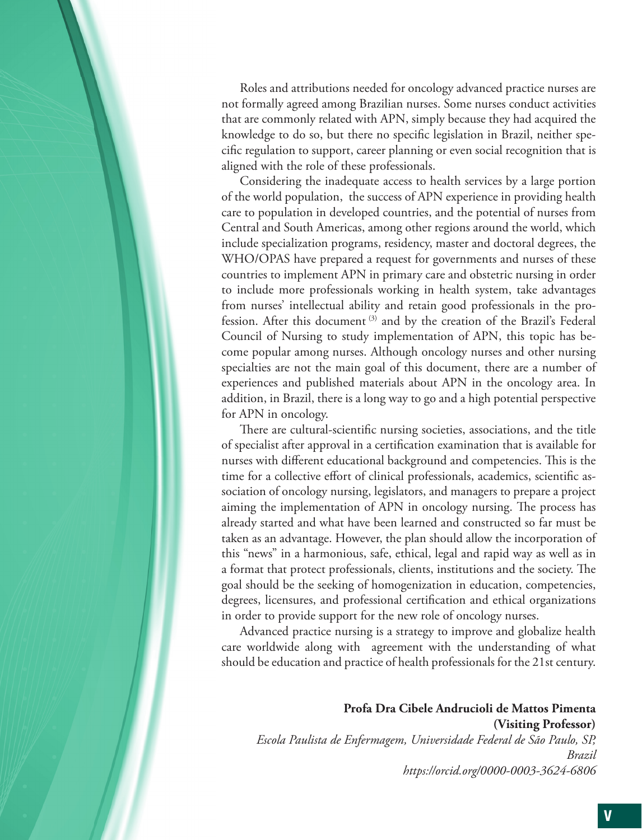Roles and attributions needed for oncology advanced practice nurses are not formally agreed among Brazilian nurses. Some nurses conduct activities that are commonly related with APN, simply because they had acquired the knowledge to do so, but there no specific legislation in Brazil, neither specific regulation to support, career planning or even social recognition that is aligned with the role of these professionals.

Considering the inadequate access to health services by a large portion of the world population, the success of APN experience in providing health care to population in developed countries, and the potential of nurses from Central and South Americas, among other regions around the world, which include specialization programs, residency, master and doctoral degrees, the WHO/OPAS have prepared a request for governments and nurses of these countries to implement APN in primary care and obstetric nursing in order to include more professionals working in health system, take advantages from nurses' intellectual ability and retain good professionals in the profession. After this document<sup>(3)</sup> and by the creation of the Brazil's Federal Council of Nursing to study implementation of APN, this topic has become popular among nurses. Although oncology nurses and other nursing specialties are not the main goal of this document, there are a number of experiences and published materials about APN in the oncology area. In addition, in Brazil, there is a long way to go and a high potential perspective for APN in oncology.

There are cultural-scientific nursing societies, associations, and the title of specialist after approval in a certification examination that is available for nurses with different educational background and competencies. This is the time for a collective effort of clinical professionals, academics, scientific association of oncology nursing, legislators, and managers to prepare a project aiming the implementation of APN in oncology nursing. The process has already started and what have been learned and constructed so far must be taken as an advantage. However, the plan should allow the incorporation of this "news" in a harmonious, safe, ethical, legal and rapid way as well as in a format that protect professionals, clients, institutions and the society. The goal should be the seeking of homogenization in education, competencies, degrees, licensures, and professional certification and ethical organizations in order to provide support for the new role of oncology nurses.

Advanced practice nursing is a strategy to improve and globalize health care worldwide along with agreement with the understanding of what should be education and practice of health professionals for the 21st century.

**Profa Dra Cibele Andrucioli de Mattos Pimenta (Visiting Professor)** *Escola Paulista de Enfermagem, Universidade Federal de São Paulo, SP, Brazil https://orcid.org/0000-0003-3624-6806*